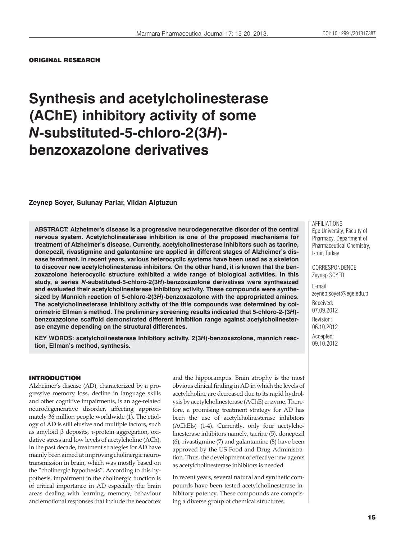#### ORIGINAL RESEARCH

# **Synthesis and acetylcholinesterase (AChE) inhibitory activity of some**  *N***-substituted-5-chloro-2(3***H***) benzoxazolone derivatives**

#### **Zeynep Soyer, Sulunay Parlar, Vildan Alptuzun**

**ABSTRACT: Alzheimer's disease is a progressive neurodegenerative disorder of the central nervous system. Acetylcholinesterase inhibition is one of the proposed mechanisms for treatment of Alzheimer's disease. Currently, acetylcholinesterase inhibitors such as tacrine, donepezil, rivastigmine and galantamine are applied in different stages of Alzheimer's disease teratment. In recent years, various heterocyclic systems have been used as a skeleton to discover new acetylcholinesterase inhibitors. On the other hand, it is known that the benzoxazolone heterocyclic structure exhibited a wide range of biological activities. In this study, a series** *N***-substituted-5-chloro-2(3***H***)-benzoxazolone derivatives were synthesized and evaluated their acetylcholinesterase inhibitory activity. These compounds were synthesized by Mannich reaction of 5-chloro-2(3***H***)-benzoxazolone with the appropriated amines. The acetylcholinesterase inhibitory activity of the title compounds was determined by colorimetric Ellman's method. The preliminary screening results indicated that 5-chloro-2-(3***H***) benzoxazolone scaffold demonstrated different inhibition range against acetylcholinesterase enzyme depending on the structural differences.**

**KEY WORDS: acetylcholinesterase Inhibitory activity, 2(3***H***)-benzoxazolone, mannich reaction, Ellman's method, synthesis.**

#### INTRODUCTION

Alzheimer's disease (AD), characterized by a progressive memory loss, decline in language skills and other cognitive impairments, is an age-related neurodegenerative disorder, affecting approximately 36 million people worldwide (1). The etiology of AD is still elusive and multiple factors, such as amyloid β deposits, τ-protein aggregation, oxidative stress and low levels of acetylcholine (ACh). In the past decade, treatment strategies for AD have mainly been aimed at improving cholinergic neurotransmission in brain, which was mostly based on the "cholinergic hypothesis". According to this hypothesis, impairment in the cholinergic function is of critical importance in AD especially the brain areas dealing with learning, memory, behaviour and emotional responses that include the neocortex

and the hippocampus. Brain atrophy is the most obvious clinical finding in AD in which the levels of acetylcholine are decreased due to its rapid hydrolysis by acetylcholinesterase (AChE) enzyme. Therefore, a promising treatment strategy for AD has been the use of acetylcholinesterase inhibitors (AChEIs) (1-4). Currently, only four acetylcholinesterase inhibitors namely, tacrine (5), donepezil (6), rivastigmine (7) and galantamine (8) have been approved by the US Food and Drug Administration. Thus, the development of effective new agents as acetylcholinesterase inhibitors is needed.

In recent years, several natural and synthetic compounds have been tested acetylcholinesterase inhibitory potency. These compounds are comprising a diverse group of chemical structures.

AFFILIATIONS Ege University, Faculty of Pharmacy, Department of Pharmaceutical Chemistry, İzmir, Turkey

**CORRESPONDENCE** Zeynep SOYER

E-mail: zeynep.soyer@ege.edu.tr Received: 07.09.2012 Revision: 06.10.2012 Accepted: 09.10.2012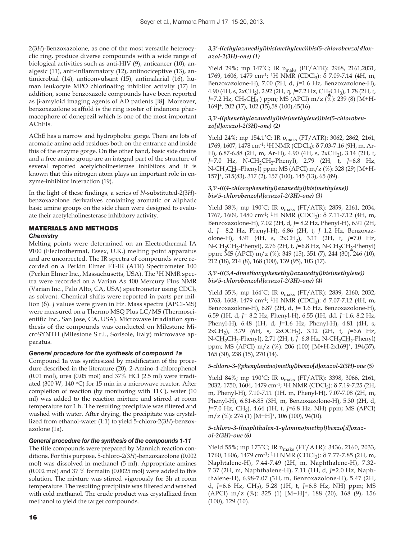2(3*H*)-Benzoxazolone, as one of the most versatile heterocyclic ring, produce diverse compounds with a wide range of biological activities such as anti-HIV (9), anticancer (10), analgesic (11), anti-inflammatory (12), antinociceptive (13), antimicrobial (14), anticonvulsant (15), antimalarial (16), human leukocyte MPO chlorinating inhibitor activity (17) In addition, some benzoxazole compounds have been reported as β-amyloid imaging agents of AD patients [l8]. Moreover, benzoxazolone scaffold is the ring isoster of indanone pharmacophore of donepezil which is one of the most important AChEIs.

AChE has a narrow and hydrophobic gorge. There are lots of aromatic amino acid residues both on the entrance and inside this of the enzyme gorge. On the other hand, basic side chains and a free amino group are an integral part of the structure of several reported acetylcholinesterase inhibitors and it is known that this nitrogen atom plays an important role in enzyme-inhibitor interaction (19).

In the light of these findings, a series of *N*-substituted-2(3*H*) benzoxazolone derivatives containing aromatic or aliphatic basic amine groups on the side chain were designed to evaluate their acetylcholinesterase inhibitory activity.

# MATERIALS AND METHODS

#### *Chemistry*

Melting points were determined on an Electrothermal IA 9100 (Electrothermal, Essex, U.K.) melting point apparatus and are uncorrected. The IR spectra of compounds were recorded on a Perkin Elmer FT-IR (ATR) Spectrometer 100 (Perkin Elmer Inc., Massachusetts, USA). The 1H NMR spectra were recorded on a Varian As 400 Mercury Plus NMR (Varian Inc., Palo Alto, CA, USA) spectrometer using  $CDCI<sub>3</sub>$ as solvent. Chemical shifts were reported in parts per million (δ). *J* values were given in Hz. Mass spectra (APCI-MS) were measured on a Thermo MSQ Plus LC/MS (Thermoscientific Inc., San Jose, CA, USA). Microwave irradiation synthesis of the compounds was conducted on Milestone MicroSYNTH (Milestone S.r.l., Sorisole, Italy) microwave apparatus.

#### *General procedure for the synthesis of compound 1a*

Compound 1a was synthesized by modification of the procedure described in the literature (20). 2-Amino-4-chlorophenol (0.01 mol), urea (0.05 mol) and 37% HCl (2.5 ml) were irradiated (300 W, 140  $\textdegree$ C) for 15 min in a microwave reactor. After completion of reaction (by monitoring with TLC), water (10 ml) was added to the reaction mixture and stirred at room temperature for 1 h. The resulting precipitate was filtered and washed with water. After drying, the precipitate was crystallized from ethanol-water (1:1) to yield 5-chloro-2(3*H*)-benzoxazolone (1a).

#### *General procedure for the synthesis of the compounds 1-11*

The title compounds were prepared by Mannich reaction conditions. For this purpose, 5-chloro-2(3*H*)-benzoxazolone (0.002 mol) was dissolved in methanol (5 ml). Appropriate amines (0.002 mol) and 37 % formalin (0.0025 mol) were added to this solution. The mixture was stirred vigorously for 3h at room temperature. The resulting precipitate was filtered and washed with cold methanol. The crude product was crystallized from methanol to yield the target compounds.

#### *3,3'-((ethylazanediyl)bis(methylene))bis(5-chlorobenzo[d]oxazol-2(3H)-one) (1)*

Yield 29%; mp 147˚C; IR υmaks (FT/ATR): 2968, 2161,2031, 1769, 1606, 1479 cm<sup>-1</sup>; <sup>1</sup>H NMR (CDCl<sub>3</sub>): δ 7.09-7.14 (4H, m, Benzoxazolone-H), 7.00 (2H, d, *J*=1.6 Hz, Benzoxazolone-H), 4.90 (4H, s, 2xCH<sub>2</sub>), 2.92 (2H, q, *J*=7.2 Hz, C<u>H</u><sub>2</sub>CH<sub>3</sub>), 1.78 (2H, t, *J*=7.2 Hz, CH<sub>2</sub>CH<sub>3</sub> ) ppm; MS (APCI) m/z (%): 239 (8) [M+H- $169$ <sup>+</sup>, 202 (17),  $10\overline{2}$  (15), 58 (100), 45(16).

#### *3,3'-((phenethylazanediyl)bis(methylene))bis(5-chlorobenzo[d]oxazol-2(3H)-one) (2)*

Yield 24%; mp 154.1˚C; IR υmaks (FT/ATR): 3062, 2862, 2161, 1769, 1607, 1478 cm<sup>-1</sup>; <sup>1</sup>H NMR (CDCl<sub>3</sub>): δ 7.03-7.16 (9H, m, Ar-H), 6.87-6.88 (2H, m, Ar-H), 4.90 (4H, s, 2xCH<sub>2</sub>), 3.14 (2H, t, *J*=7.0 Hz, N-CH<sub>2</sub>CH<sub>2</sub>-Phenyl), 2.79 (2H, t, *J*=6.8 Hz, N-CH<sub>2</sub>CH<sub>2</sub>-Phenyl) ppm; MS (APCI) m/z (%): 328 (29) [M+H-157]+, 315(83), 317 (2), 157 (100), 145 (13), 65 (89).

#### *3,3'-(((4-chlorophenethyl)azanediyl)bis(methylene)) bis(5-chlorobenzo[d]oxazol-2(3H)-one) (3)*

Yield 38%; mp 190˚C; IR υmaks (FT/ATR): 2859, 2161, 2034, 1767, 1609, 1480 cm<sup>-1</sup>; <sup>1</sup>H NMR (CDCl<sub>3</sub>): δ 7.11-7.12 (4H, m, Benzoxazolone-H), 7.02 (2H, d, *J*= 8.2 Hz, Phenyl-H), 6.91 (2H, d, *J*= 8.2 Hz, Phenyl-H), 6.86 (2H, t, *J*=1.2 Hz, Benzoxazolone-H), 4.91 (4H, s, 2xCH<sub>2</sub>), 3.11 (2H, t, *J*=7.0 Hz, N-CH<sub>2</sub>CH<sub>2</sub>-Phenyl), 2.76 (2H, t, *J*=6.8 Hz, N-CH<sub>2</sub>CH<sub>2</sub>-Phenyl) ppm; MS (APCI) m/z (%): 349 (15), 351 (7), 244 (30), 246 (10), 212 (18), 214 (8), 168 (100), 139 (95), 103 (17).

## *3,3'-(((3,4-dimethoxyphenethyl)azanediyl)bis(methylene)) bis(5-chlorobenzo[d]oxazol-2(3H)-one) (4)*

Yield 35%; mp 164°C; IR  $v_{\text{maks}}$  (FT/ATR): 2839, 2160, 2032, 1763, 1608, 1479 cm<sup>-1</sup>; <sup>1</sup>H NMR (CDCl<sub>3</sub>): δ 7.07-7.12 (4H, m, Benzoxazolone-H), 6.87 (2H, d, *J*= 1.6 Hz, Benzoxazolone-H), 6.59 (1H, d, *J*= 8.2 Hz, Phenyl-H), 6.55 (1H, dd, *J*=1.6; 8.2 Hz, Phenyl-H), 6.48 (1H, d, *J*=1.6 Hz, Phenyl-H), 4.81 (4H, s, 2xCH2), 3.79 (6H, s, 2xOCH3), 3.12 (2H, t, *J*=6.6 Hz, N-CH<sub>2</sub>CH<sub>2</sub>-Phenyl), 2.71 (2H, t, *J*=6.8 Hz, N-CH<sub>2</sub>CH<sub>2</sub>-Phenyl) ppm; MS (APCI) m/z (%): 206 (100) [M+H-2x169]+, 194(37), 165 (30), 238 (15), 270 (14).

#### *5-chloro-3-((phenylamino)methyl)benzo[d]oxazol-2(3H)-one (5)*

Yield 84%; mp 190˚C; IR υmaks (FT/ATR): 3398, 3066, 2161, 2032, 1750, 1604, 1479 cm<sup>-1</sup>; <sup>1</sup>H NMR (CDCl<sub>3</sub>): δ 7.19-7.25 (2H, m, Phenyl-H), 7.10-7.11 (1H, m, Phenyl-H), 7.07-7.08 (2H, m, Phenyl-H), 6.81-6.85 (3H, m, Benzoxazolone-H), 5.30 (2H, d, *J*=7.0 Hz, CH2), 4.64 (1H, t, *J*=6.8 Hz, NH) ppm; MS (APCI)  $m/z$  (%): 274 (1)  $[M+H]^+$ , 106 (100), 94(10).

#### *5-chloro-3-((naphthalen-1-ylamino)methyl)benzo[d]oxazol-2(3H)-one (6)*

Yield 55%; mp 173˚C; IR υmaks (FT/ATR): 3436, 2160, 2033, 1760, 1606, 1479 cm-1; 1H NMR (CDCl3): δ 7.77-7.85 (2H, m, Naphtalene-H), 7.44-7.49 (2H, m, Naphthalene-H), 7.32- 7.37 (2H, m, Naphthalene-H), 7.11 (1H, d, *J*=2.0 Hz, Naphthalene-H), 6.98-7.07 (3H, m, Benzoxazolone-H), 5.47 (2H, d, *J*=6.6 Hz, CH2), 5.28 (1H, t, *J*=6.8 Hz, NH) ppm; MS (APCI) m/z (%): 325 (1) [M+H]+, 188 (20), 168 (9), 156 (100), 129 (10).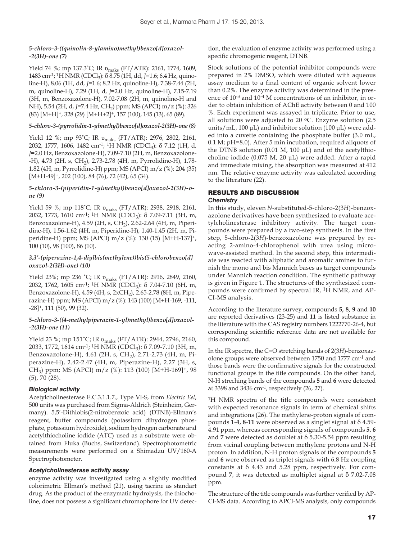#### *5-chloro-3-((quinolin-8-ylamino)methyl)benzo[d]oxazol- -2(3H)-one (7)*

Yield 74 %; mp 137.3˚C; IR υmaks (FT/ATR): 2161, 1774, 1609, 1483 cm-1; 1H NMR (CDCl3): δ 8.75 (1H, dd, *J*=1.6; 6.4 Hz, quinoline-H), 8.06 (1H, dd, *J*=1.6; 8.2 Hz, quinoline-H), 7.38-7.44 (2H, m, quinoline-H), 7.29 (1H, d, *J*=2.0 Hz, quinoline-H), 7.15-7.19 (3H, m, Benzoxazolone-H), 7.02-7.08 (2H, m, quinoline-H and NH), 5.54 (2H, d, *J*=7.4 Hz, CH<sub>2</sub>) ppm; MS (APCI) m/z (%): 326 (83) [M+H]+, 328 (29) [M+H+2]+, 157 (100), 145 (13), 65 (89).

#### *5-chloro-3-(pyrrolidin-1-ylmethyl)benzo[d]oxazol-2(3H)-one (8)*

Yield 12 %; mp 93˚C; IR υmaks (FT/ATR): 2976, 2802, 2161, 2032, 1777, 1606, 1482 cm<sup>-1</sup>; <sup>1</sup>H NMR (CDCl<sub>3</sub>): δ 7.12 (1H, d, *J*=2.0 Hz, Benzoxazolone-H), 7.09-7.10 (2H, m, Benzoxazolone- -H), 4.73 (2H, s, CH<sub>2</sub>), 2.73-2.78 (4H, m, Pyrrolidine-H), 1.78-1.82 (4H, m, Pyrrolidine-H) ppm; MS (APCI) m/z (%): 204 (35) [M+H-49]<sup>+</sup>, 202 (100), 84 (76), 72 (42), 65 (34).

#### *5-chloro-3-(piperidin-1-ylmethyl)benzo[d]oxazol-2(3H)-one (9)*

Yield 59 %; mp 118°C; IR v<sub>maks</sub> (FT/ATR): 2938, 2918, 2161, 2032, 1773, 1610 cm<sup>-1</sup>; <sup>1</sup>H NMR (CDCl<sub>3</sub>): δ 7.09-7.11 (3H, m, Benzoxazolone-H), 4.59 (2H, s, CH<sub>2</sub>), 2.62-2.64 (4H, m, Piperidine-H), 1.56-1.62 (4H, m, Piperidine-H), 1.40-1.45 (2H, m, Piperidine-H) ppm; MS (APCI) m/z (%): 130 (15) [M+H-137]+, 100 (10), 98 (100), 86 (10).

#### *3,3'-(piperazine-1,4-diylbis(methylene))bis(5-chlorobenzo[d] oxazol-2(3H)-one) (10)*

Yield 23%; mp 236 ˚C; IR υmaks (FT/ATR): 2916, 2849, 2160, 2032, 1762, 1605 cm<sup>-1</sup>; <sup>1</sup>H NMR (CDCl<sub>3</sub>): δ 7.04-7.10 (6H, m, Benzoxazolone-H), 4.59 (4H, s, 2xCH<sub>2</sub>), 2.65-2.78 (8H, m, Piperazine-H) ppm; MS (APCI) m/z (%): 143 (100) [M+H-169, -111, -28]+, 111 (50), 99 (32).

#### *5-chloro-3-((4-methylpiperazin-1-yl)methyl)benzo[d]oxazol- -2(3H)-one (11)*

Yield 23 %; mp 151˚C; IR υmaks (FT/ATR): 2944, 2796, 2160, 2033, 1772, 1614 cm<sup>-1</sup>; <sup>1</sup>H NMR (CDCl<sub>3</sub>):  $\delta$  7.09-7.10 (3H, m, Benzoxazolone-H), 4.61 (2H, s, CH2), 2.71-2.73 (4H, m, Piperazine-H), 2.42-2.47 (4H, m, Piperazine-H), 2.27 (3H, s, CH<sub>3</sub>) ppm; MS (APCI) m/z (%): 113 (100) [M+H-169]<sup>+</sup>, 98 (5), 70 (28).

#### *Biological activity*

Acetylcholinesterase E.C.3.1.1.7., Type VI-S, from *Electric Eel*, 500 units was purchased from Sigma-Aldrich (Steinheim, Germany). 5,5'-Dithiobis(2-nitrobenzoic acid) (DTNB)-Ellman's reagent, buffer compounds (potassium dihydrogen phosphate, potassium hydroxide), sodium hydrogen carbonate and acetylthiocholine iodide (ATC) used as a substrate were obtained from Fluka (Buchs, Switzerland). Spectrophotometric measurements were performed on a Shimadzu UV/160-A Spectrophotometer.

#### *Acetylcholinesterase activity assay*

enzyme activity was investigated using a slightly modified colorimetric Ellman's method (21), using tacrine as standart drug. As the product of the enzymatic hydrolysis, the thiocholine, does not possess a significant chromophore for UV detec-

tion, the evaluation of enzyme activity was performed using a specific chromogenic reagent, DTNB.

Stock solutions of the potential inhibitor compounds were prepared in 2% DMSO, which were diluted with aqueous assay medium to a final content of organic solvent lower than 0.2%. The enzyme activity was determined in the presence of 10-3 and 10-4 M concentrations of an inhibitor, in order to obtain inhibition of AChE activity between 0 and 100 %. Each experiment was assayed in triplicate. Prior to use, all solutions were adjusted to 20  $\degree$ C. Enzyme solution (2.5) units/mL, 100 μL) and inhibitor solution (100 μL) were added into a cuvette containing the phosphate buffer (3.0 mL, 0.1 M; pH=8.0). After 5 min incubation, required aliquots of the DTNB solution (0.01 M, 100 μL) and of the acetylthiocholine iodide (0.075 M, 20 μL) were added. After a rapid and immediate mixing, the absorption was measured at 412 nm. The relative enzyme activity was calculated according to the literature (22).

## RESULTS AND DISCUSSION

#### *Chemistry*

In this study, eleven *N*-substituted-5-chloro-2(3*H*)-benzoxazolone derivatives have been synthesized to evaluate acetylcholinesterase inhibitory activity. The target compounds were prepared by a two-step synthesis. In the first step, 5-chloro-2(3*H*)-benzoxazolone was prepared by reacting 2-amino-4-chlorophenol with urea using microwave-assisted method. In the second step, this intermediate was reacted with aliphatic and aromatic amines to furnish the mono and bis Mannich bases as target compounds under Mannich reaction condition. The synthetic pathway is given in Figure 1. The structures of the synthesized compounds were confirmed by spectral IR, 1H NMR, and AP-CI-MS analysis.

According to the literature survey, compounds **5, 8, 9** and **10** are reported derivatives (23-25) and **11** is listed substance in the literature with the CAS registry numbers 1222770-26-4, but corresponding scientific reference data are not available for this compound.

In the IR spectra, the C=O stretching bands of 2(3*H*)-benzoxazolone groups were observed between 1750 and 1777 cm-1 and those bands were the confirmative signals for the constructed functional groups in the title compounds. On the other hand, N-H streching bands of the compounds **5** and **6** were detected at 3398 and 3436 cm-1, respectively (26, 27).

1H NMR spectra of the title compounds were consistent with expected resonance signals in term of chemical shifts and integrations (26). The methylene-proton signals of compounds **1**-**4**, **8**-**11** were observed as a singlet signal at δ 4.59- 4.91 ppm, whereas corresponding signals of compounds **5**, **6** and **7** were detected as doublet at δ 5.30-5.54 ppm resulting from vicinal coupling between methylene protons and N-H proton. In addition, N-H proton signals of the compounds **5** and **6** were observed as triplet signals with 6.8 Hz coupling constants at δ 4.43 and 5.28 ppm, respectively. For compound **7**, it was detected as multiplet signal at δ 7.02-7.08 ppm.

The structure of the title compounds was further verified by AP-CI-MS data. According to APCI-MS analysis, only compounds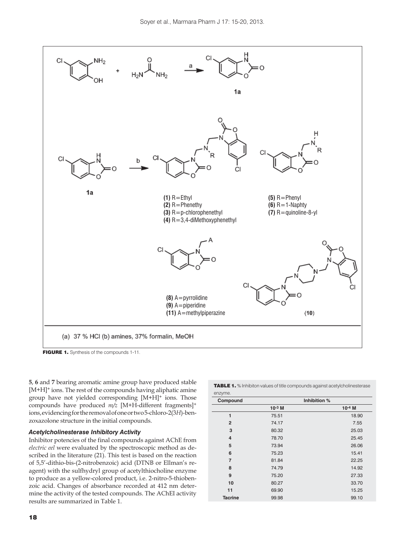

FIGURE 1. Synthesis of the compounds 1-11.

**5**, **6** and **7** bearing aromatic amine group have produced stable [M+H]+ ions. The rest of the compounds having aliphatic amine group have not yielded corresponding [M+H]+ ions. Those compounds have produced *m/z* [M+H-different fragments]+ ions, evidencing for the removal of one or two 5-chloro-2(3*H*)-benzoxazolone structure in the initial compounds.

#### *Acetylcholinesterase Inhibitory Activity*

Inhibitor potencies of the final compounds against AChE from *electric eel* were evaluated by the spectroscopic method as described in the literature (21). This test is based on the reaction of 5,5'-dithio-bis-(2-nitrobenzoic) acid (DTNB or Ellman's reagent) with the sulfhydryl group of acetylthiocholine enzyme to produce as a yellow-colored product, i.e. 2-nitro-5-thiobenzoic acid. Changes of absorbance recorded at 412 nm determine the activity of the tested compounds. The AChEI activity results are summarized in Table 1.

TABLE 1. % Inhibiton values of title compounds against acetylcholinesterase enzyme.

| Compound       | Inhibition % |          |
|----------------|--------------|----------|
|                | $10^{-3}$ M  | $10-4$ M |
| 1              | 75.51        | 18.90    |
| $\overline{2}$ | 74.17        | 7.55     |
| 3              | 80.32        | 25.03    |
| $\overline{4}$ | 78.70        | 25.45    |
| 5              | 73.94        | 26.06    |
| 6              | 75.23        | 15.41    |
| $\overline{7}$ | 81.84        | 22.25    |
| 8              | 74.79        | 14.92    |
| 9              | 75.20        | 27.33    |
| 10             | 80.27        | 33.70    |
| 11             | 69.90        | 15.25    |
| <b>Tacrine</b> | 99.98        | 99.10    |
|                |              |          |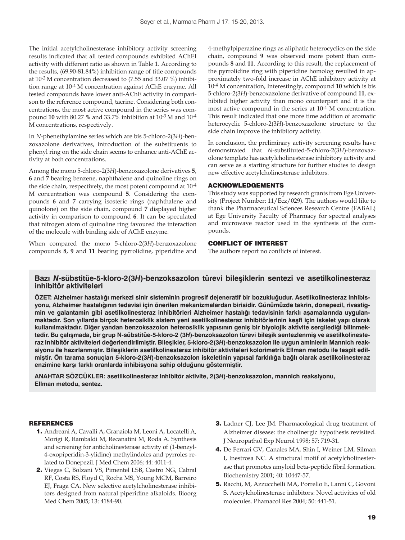The initial acetylcholinesterase inhibitory activity screening results indicated that all tested compounds exhibited AChEI activity with different ratio as shown in Table 1. According to the results, (69.90-81.84%) inhibition range of title compounds at 10-3 M concentration decreased to (7.55 and 33.07 %) inhibition range at 10-4 M concentration against AChE enzyme. All tested compounds have lower anti-AChE activity in comparison to the reference compound, tacrine. Considering both concentrations, the most active compound in the series was compound **10** with 80.27 % and 33.7% inhibition at 10-3 M and 10-4 M concentrations, respectively.

In *N*-phenethylamine series which are bis 5-chloro-2(3*H*)-benzoxazolone derivatives, introduction of the substituents to phenyl ring on the side chain seems to enhance anti-AChE activity at both concentrations.

Among the mono 5-chloro-2(3*H*)-benzoxazolone derivatives **5**, **6** and **7** bearing benzene, naphthalene and quinoline rings on the side chain, respectively, the most potent compound at 10-4 M concentration was compound **5**. Considering the compounds **6** and **7** carrying isosteric rings (naphthalene and quinolone) on the side chain, compound **7** displayed higher activity in comparison to compound **6**. It can be speculated that nitrogen atom of quinoline ring favoured the interaction of the molecule with binding side of AChE enzyme.

When compared the mono 5-chloro-2(3*H*)-benzoxazolone compounds **8**, **9** and **11** bearing pyrrolidine, piperidine and 4-methylpiperazine rings as aliphatic heterocyclics on the side chain, compound **9** was observed more potent than compounds **8** and **11**. According to this result, the replacement of the pyrrolidine ring with piperidine homolog resulted in approximately two-fold increase in AChE inhibitory activity at 10-4 M concentration, Interestingly, compound **10** which is bis 5-chloro-2(3*H*)-benzoxazolone derivative of compound **11**, exhibited higher activity than mono counterpart and it is the most active compound in the series at 10-4 M concentration. This result indicated that one more time addition of aromatic heterocyclic 5-chloro-2(3*H*)-benzoxazolone structure to the side chain improve the inhibitory activity.

In conclusion, the preliminary activity screening results have demonstrated that *N*-substituted-5-chloro-2(3*H*)-benzoxazolone template has acetylcholinesterase inhibitory activity and can serve as a starting structure for further studies to design new effective acetylcholinesterase inhibitors.

#### ACKNOWLEDGEMENTS

This study was supported by research grants from Ege University (Project Number: 11/Ecz/029). The authors would like to thank the Pharmaceutical Sciences Research Centre (FABAL) at Ege University Faculty of Pharmacy for spectral analyses and microwave reactor used in the synthesis of the compounds.

#### CONFLICT OF INTEREST

The authors report no conflicts of interest.

# **Bazı** *N***-sübstitüe-5-kloro-2(3***H***)-benzoksazolon türevi bileşiklerin sentezi ve asetilkolinesteraz inhibitör aktiviteleri**

**ÖZET: Alzheimer hastalığı merkezi sinir sisteminin progresif dejeneratif bir bozukluğudur. Asetilkolinesteraz inhibisyonu, Alzheimer hastalığının tedavisi için önerilen mekanizmalardan birisidir. Günümüzde takrin, donepezil, rivastigmin ve galantamin gibi asetilkolinesteraz inhibitörleri Alzheimer hastalığı tedavisinin farklı aşamalarında uygulanmaktadır. Son yıllarda birçok heterosiklik sistem yeni asetilkolinesteraz inhibitörlerinin keşfi için iskelet yapı olarak kullanılmaktadır. Diğer yandan benzoksazolon heterosiklik yapısının geniş bir biyolojik aktivite sergilediği bilinmektedir. Bu çalışmada, bir grup N-sübstitüe-5-kloro-2 (3***H***)-benzoksazolon türevi bileşik sentezlenmiş ve asetilkolinesteraz inhibitör aktiviteleri değerlendirilmiştir. Bileşikler, 5-kloro-2(3***H***)-benzoksazolon ile uygun aminlerin Mannich reaksiyonu ile hazırlanmıştır. Bileşiklerin asetilkolinesteraz inhibitör aktiviteleri kolorimetrik Ellman metodu ile tespit edilmiştir. Ön tarama sonuçları 5-kloro-2(3***H***)-benzoksazolon iskeletinin yapısal farklılığa bağlı olarak asetilkolinesteraz enzimine karşı farklı oranlarda inhibisyona sahip olduğunu göstermiştir.**

**ANAHTAR SÖZCÜKLER: asetilkolinesteraz inhibitör aktivite, 2(3***H***)-benzoksazolon, mannich reaksiyonu, Ellman metodu, sentez.**

#### **REFERENCES**

- 1. Andreani A, Cavalli A, Granaiola M, Leoni A, Locatelli A, Morigi R, Rambaldi M, Recanatini M, Roda A. Synthesis and screening for anticholinesterase activity of (1-benzyl-4-oxopiperidin-3-ylidine) methylindoles and pyrroles related to Donepezil. J Med Chem 2006; 44: 4011-4.
- 2. Viegas C, Bolzani VS, Pimentel LSB, Castro NG, Cabral RF, Costa RS, Floyd C, Rocha MS, Young MCM, Barreiro EJ, Fraga CA. New selective acetylcholinesterase inhibitors designed from natural piperidine alkaloids. Bioorg Med Chem 2005; 13: 4184-90.
- 3. Ladner CJ, Lee JM. Pharmacological drug treatment of Alzheimer disease: the cholinergic hypothesis revisited. J Neuropathol Exp Neurol 1998; 57: 719-31.
- 4. De Ferrari GV, Canales MA, Shin I, Weiner LM, Silman I, Inestrosa NC. A structural motif of acetylcholinesterase that promotes amyloid beta-peptide fibril formation. Biochemistry 2001; 40: 10447-57.
- 5. Racchi, M, Azzucchelli MA, Porrello E, Lanni C, Govoni S. Acetylcholinesterase inhibitors: Novel activities of old molecules. Phamacol Res 2004; 50: 441-51.